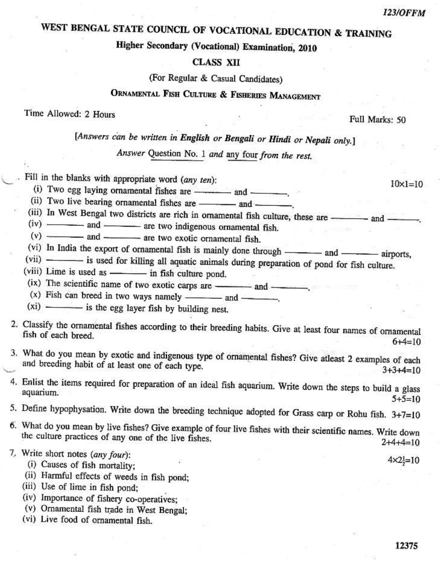$10 \times 1 = 10$ 

# WEST BENGAL STATE COUNCIL OF VOCATIONAL EDUCATION & TRAINING

## Higher Secondary (Vocational) Examination, 2010

#### **CLASS XII**

(For Regular & Casual Candidates)

## ORNAMENTAL FISH CULTURE & FISHERIES MANAGEMENT

#### Time Allowed: 2 Hours

Full Marks: 50

## [Answers can be written in English or Bengali or Hindi or Nepali only.]

Answer Question No. 1 and any four from the rest.

Fill in the blanks with appropriate word (any ten):

- (i) Two egg laying ornamental fishes are ———— and —
- (ii) Two live bearing ornamental fishes are and —
- (iii) In West Bengal two districts are rich in ornamental fish culture, these are and -
- $(iv)$   $\longrightarrow$  and  $\longrightarrow$  are two indigenous ornamental fish.
- $(v)$   $\frac{du}{dx}$  and  $\frac{du}{dx}$  are two exotic ornamental fish.
- (vi) In India the export of ornamental fish is mainly done through and -- airports.
- (vii) is used for killing all aquatic animals during preparation of pond for fish culture.
- (viii) Lime is used as in fish culture pond.
- (ix) The scientific name of two exotic carps are \_\_\_\_\_\_\_\_ and \_\_\_\_\_\_\_\_.
- $(x)$  Fish can breed in two ways namely ———— and —
- $(xi)$   $\longrightarrow$  is the egg layer fish by building nest.
- 2. Classify the ornamental fishes according to their breeding habits. Give at least four names of ornamental fish of each breed.  $6+4=10$
- 3. What do you mean by exotic and indigenous type of ornamental fishes? Give atleast 2 examples of each and breeding habit of at least one of each type.  $3+3+4=10$
- 4. Enlist the items required for preparation of an ideal fish aquarium. Write down the steps to build a glass aquarium.  $5+5=10$
- 5. Define hypophysation. Write down the breeding technique adopted for Grass carp or Rohu fish. 3+7=10
- 6. What do you mean by live fishes? Give example of four live fishes with their scientific names. Write down the culture practices of any one of the live fishes.  $2+4+4=10$

7. Write short notes (any four):

- (i) Causes of fish mortality;
- (ii) Harmful effects of weeds in fish pond;
- (iii) Use of lime in fish pond;
- (iv) Importance of fishery co-operatives;
- (v) Ornamental fish trade in West Bengal;
- (vi) Live food of ornamental fish.

 $4 \times 2 = 10$